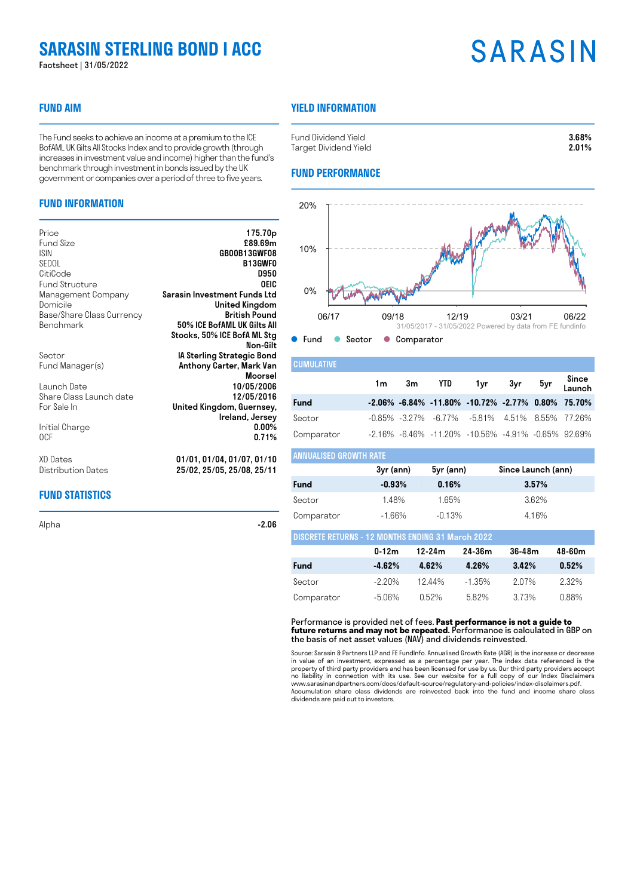## **SARASIN STERLING BOND I ACC**

Factsheet | 31/05/2022

## **FUND AIM**

The Fund seeks to achieve an income at a premium to the ICE BofAML UK Gilts All Stocks Index and to provide growth (through increases in investment value and income) higher than the fund's benchmark through investment in bonds issued by the UK government or companies over a period of three to five years.

## **FUND INFORMATION**

| Price                     | 175.70 <sub>p</sub>          |
|---------------------------|------------------------------|
| Fund Size                 | £89.69m                      |
| <b>ISIN</b>               | GB00B13GWF08                 |
| SEDOL                     | <b>B13GWFO</b>               |
| CitiCode                  | <b>D950</b>                  |
| <b>Fund Structure</b>     | OEIC                         |
| Management Company        | Sarasin Investment Funds Ltd |
| Domicile                  | United Kingdom               |
| Base/Share Class Currency | <b>British Pound</b>         |
| Benchmark                 | 50% ICE BofAML UK Gilts All  |
|                           | Stocks, 50% ICE BofA ML Stg  |
|                           | Non-Gilt                     |
| Sector                    | IA Sterling Strategic Bond   |
| Fund Manager(s)           | Anthony Carter, Mark Van     |
|                           | <b>Moorsel</b>               |
| Launch Date               | 10/05/2006                   |
| Share Class Launch date   | 12/05/2016                   |
| For Sale In               | United Kingdom, Guernsey,    |
|                           | Ireland, Jersey              |
| Initial Charge            | $0.00\%$                     |
| 0CF                       | 0.71%                        |
| XD Dates                  | 01/01, 01/04, 01/07, 01/10   |
| Distribution Dates        | 25/02, 25/05, 25/08, 25/11   |

## **FUND STATISTICS**

Alpha -2.**06** -2.06

## **YIELD INFORMATION**

| Fund Dividend Yield   | 3.68% |
|-----------------------|-------|
| Target Dividend Yield | 2.01% |

## **FUND PERFORMANCE**



## **CUMULATIVE** 1m 3m YTD 1yr 3yr 5yr Since Launch **Fund -2.06% -6.84% -11.80% -10.72% -2.77% 0.80% 75.70%** Sector -0.85% -3.27% -6.77% -5.81% 4.51% 8.55% 77.26% Comparator -2.16% -6.46% -11.20% -10.56% -4.91% -0.65% 92.69%

## ANNUALISED GROWTH RATE

|             | 3yr (ann) | 5yr (ann) | Since Launch (ann) |
|-------------|-----------|-----------|--------------------|
| <b>Fund</b> | $-0.93%$  | 0.16%     | 3.57%              |
| Sector      | 1.48%     | 1.65%     | 3.62%              |
| Comparator  | -1.66%    | $-0.13%$  | 4.16%              |

| <b>DISCRETE RETURNS - 12 MONTHS ENDING 31 March 2022</b> |           |          |           |       |       |  |
|----------------------------------------------------------|-----------|----------|-----------|-------|-------|--|
|                                                          | 36-48m    | 48-60m   |           |       |       |  |
| <b>Fund</b>                                              | $-4.62\%$ | 4.62%    | 4.26%     | 3.42% | 0.52% |  |
| Sector                                                   | -2 20%    | 1244%    | $-1.35\%$ | 207%  | 232%  |  |
| Comparator                                               | -5.06%    | $0.52\%$ | 582%      | 3.73% | በ 88% |  |

#### Performance is provided net of fees. **Past performance is not a guide to future returns and may not be repeated.** Performance is calculated in GBP on the basis of net asset values (NAV) and dividends reinvested.

Source: Sarasin & Partners LLP and FE FundInfo. Annualised Growth Rate (AGR) is the increase or decrease in value of an investment, expressed as a percentage per year. The index data referenced is the property of third party providers and has been licensed for use by us. Our third party providers accept no liability in connection with its use. See our website for a full copy of our Index Disclaimers www.sarasinandpartners.com/docs/default-source/regulatory-and-policies/index-disclaimers.pdf. Accumulation share class dividends are reinvested back into the fund and income share class dividends are paid out to investors.

## **SARASIN**